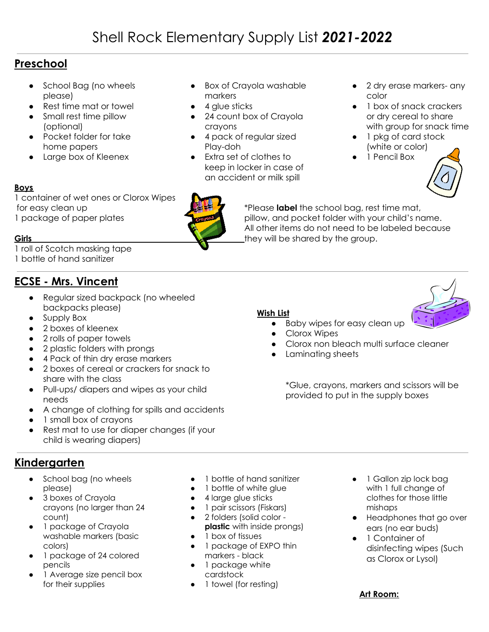# Shell Rock Elementary Supply List *2021-2022*

## **Preschool**

- School Bag (no wheels please)
- Rest time mat or towel
- Small rest time pillow (optional)
- Pocket folder for take home papers
- Large box of Kleenex
- Box of Crayola washable markers
- $\bullet$  4 glue sticks
- 24 count box of Crayola crayons
- 4 pack of regular sized Play-doh
- Extra set of clothes to keep in locker in case of an accident or milk spill
- 2 dry erase markers- any color
- 1 box of snack crackers or dry cereal to share with group for snack time
- 1 pkg of card stock (white or color)
- 1 Pencil Box



1 container of wet ones or Clorox Wipes for easy clean up \*Please **label** the school bag, rest time mat, 1 package of paper plates pillow, and pocket folder with your child's name.

**Boys**

1 roll of Scotch masking tape

1 bottle of hand sanitizer

## **ECSE - Mrs. Vincent**

- Regular sized backpack (no wheeled backpacks please)
- Supply Box
- 2 boxes of kleenex
- 2 rolls of paper towels
- 2 plastic folders with prongs
- 4 Pack of thin dry erase markers
- 2 boxes of cereal or crackers for snack to share with the class
- Pull-ups/ diapers and wipes as your child needs
- A change of clothing for spills and accidents
- 1 small box of crayons
- Rest mat to use for diaper changes (if your child is wearing diapers)

## **Kindergarten**

- School bag (no wheels please)
- 3 boxes of Crayola crayons (no larger than 24 count)
- 1 package of Crayola washable markers (basic colors)
- 1 package of 24 colored pencils
- 1 Average size pencil box for their supplies
- 1 bottle of hand sanitizer
- 1 bottle of white glue
- 4 large glue sticks
- 1 pair scissors (Fiskars)
- 2 folders (solid color **plastic** with inside prongs)
- 1 box of tissues
- 1 package of EXPO thin markers - black
- 1 package white cardstock
- 1 towel (for resting)
- 1 Gallon zip lock bag with 1 full change of clothes for those little mishaps
- Headphones that go over ears (no ear buds)
- 1 Container of disinfecting wipes (Such as Clorox or Lysol)

### **Art Room:**



● Baby wipes for easy clean up

**Wish List**

- Clorox Wipes
- Clorox non bleach multi surface cleaner

All other items do not need to be labeled because

● Laminating sheets

\*Glue, crayons, markers and scissors will be provided to put in the supply boxes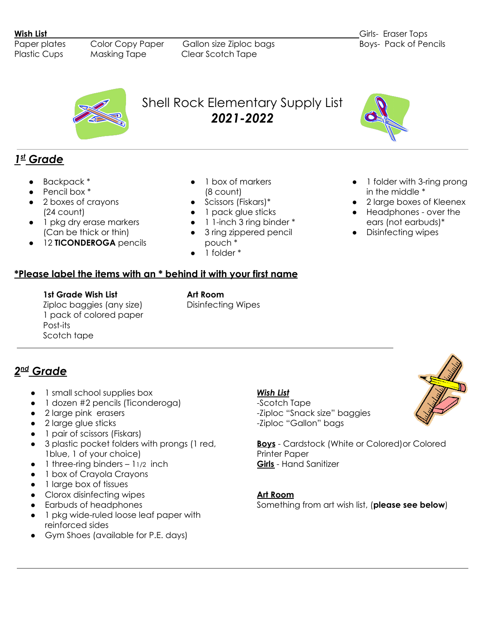Paper plates Color Copy Paper Gallon size Ziploc bags Boys- Pack of Pencils Plastic Cups Masking Tape Clear Scotch Tape



## *1 st Grade*

- Backpack \*
- Pencil box  $^*$
- 2 boxes of crayons (24 count)
- 1 pkg dry erase markers (Can be thick or thin)
- 12 **TICONDEROGA** pencils
- 1 box of markers (8 count)

Shell Rock Elementary Supply List *2021-2022*

- Scissors (Fiskars)\*
- 1 pack glue sticks
- 1 1-inch 3 ring binder \*
- 3 ring zippered pencil pouch \*
- 1 folder \*

**\*Please label the items with an \* behind it with your first name**

- 1 folder with 3-ring prong in the middle \*
- 2 large boxes of Kleenex
- Headphones over the ears (not earbuds)\*
- Disinfecting wipes

#### **1st Grade Wish List Art Room** Ziploc baggies (any size) Disinfecting Wipes 1 pack of colored paper Post-its Scotch tape

## *2 nd Grade*

- 1 small school supplies box
- 1 dozen #2 pencils (Ticonderoga)
- 2 large pink erasers
- 2 large glue sticks
- 1 pair of scissors (Fiskars)
- 3 plastic pocket folders with prongs (1 red, 1blue, 1 of your choice)
- $\bullet$  1 three-ring binders 11/2 inch
- 1 box of Crayola Crayons
- 1 large box of tissues
- Clorox disinfecting wipes
- Earbuds of headphones
- 1 pkg wide-ruled loose leaf paper with reinforced sides
- Gym Shoes (available for P.E. days)

#### *Wish List*

-Scotch Tape -Ziploc "Snack size" baggies -Ziploc "Gallon" bags



**Boys** - Cardstock (White or Colored)or Colored Printer Paper **Girls** - Hand Sanitizer

**Art Room**

Something from art wish list, (**please see below**)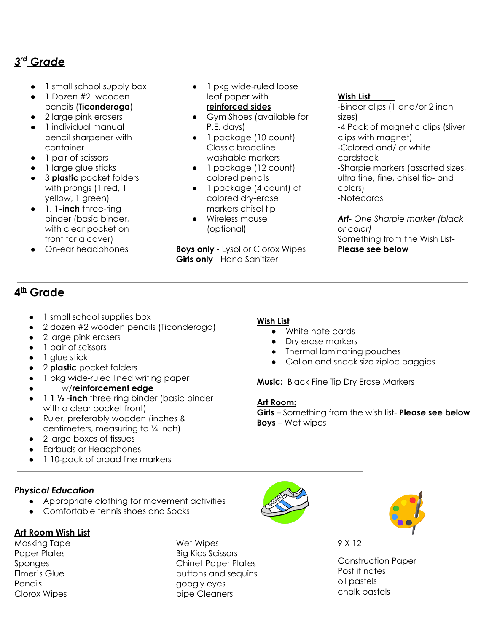## *3 rd Grade*

- 1 small school supply box
- 1 Dozen #2 wooden pencils (**Ticonderoga**)
- 2 large pink erasers
- 1 individual manual pencil sharpener with container
- 1 pair of scissors
- 1 large glue sticks
- 3 **plastic** pocket folders with prongs (1 red, 1 yellow, 1 green)
- 1, **1-inch** three-ring binder (basic binder, with clear pocket on front for a cover)
- On-ear headphones
- 1 pkg wide-ruled loose leaf paper with **reinforced sides**
- Gym Shoes (available for P.E. days)
- 1 package (10 count) Classic broadline washable markers
- 1 package (12 count) colored pencils
- 1 package (4 count) of colored dry-erase markers chisel tip
- Wireless mouse (optional)

**Boys only** - Lysol or Clorox Wipes **Girls only** - Hand Sanitizer

#### **Wish List**

-Binder clips (1 and/or 2 inch sizes) -4 Pack of magnetic clips (sliver clips with magnet) -Colored and/ or white cardstock -Sharpie markers (assorted sizes, ultra fine, fine, chisel tip- and colors) -Notecards

*Art- One Sharpie marker (black or color)* Something from the Wish List-**Please see below**

## **4 th Grade**

- 1 small school supplies box
- 2 dozen #2 wooden pencils (Ticonderoga)
- 2 large pink erasers
- 1 pair of scissors
- 1 glue stick
- 2 **plastic** pocket folders
- 1 pkg wide-ruled lined writing paper
	- w/**reinforcement edge**
- 1 **1 ½ -inch** three-ring binder (basic binder with a clear pocket front)
- Ruler, preferably wooden (inches & centimeters, measuring to ¼ Inch)
- 2 large boxes of tissues
- Earbuds or Headphones
- 1 10-pack of broad line markers

### *Physical Education*

- Appropriate clothing for movement activities
- Comfortable tennis shoes and Socks

### **Art Room Wish List**

Masking Tape Paper Plates Sponges Elmer's Glue Pencils Clorox Wipes

Wet Wipes Big Kids Scissors Chinet Paper Plates buttons and sequins googly eyes pipe Cleaners



- White note cards
- Dry erase markers
- Thermal laminating pouches
- Gallon and snack size ziploc baggies

**Music:** Black Fine Tip Dry Erase Markers

#### **Art Room:**

**Girls** – Something from the wish list- **Please see below Boys** – Wet wipes





9 X 12

Construction Paper Post it notes oil pastels chalk pastels